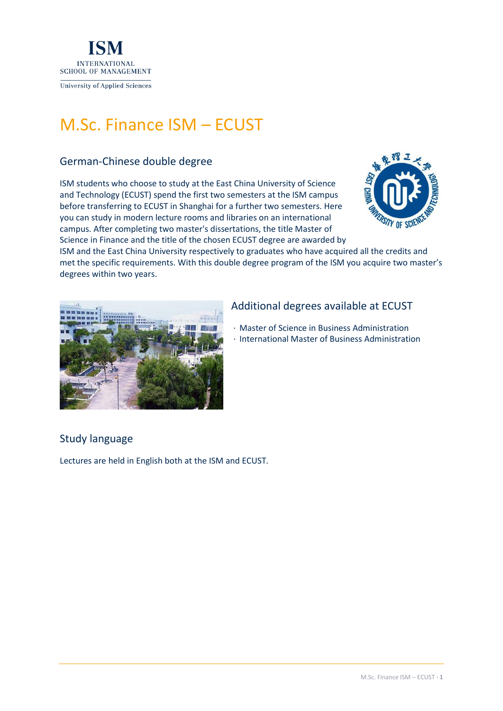

# M.Sc. Finance ISM – ECUST

### German-Chinese double degree

ISM students who choose to study at the East China University of Science and Technology (ECUST) spend the first two semesters at the ISM campus before transferring to ECUST in Shanghai for a further two semesters. Here you can study in modern lecture rooms and libraries on an international campus. After completing two master's dissertations, the title Master of Science in Finance and the title of the chosen ECUST degree are awarded by



ISM and the East China University respectively to graduates who have acquired all the credits and met the specific requirements. With this double degree program of the ISM you acquire two master's degrees within two years.



### Additional degrees available at ECUST

- · Master of Science in Business Administration
- · International Master of Business Administration

## Study language

Lectures are held in English both at the ISM and ECUST.